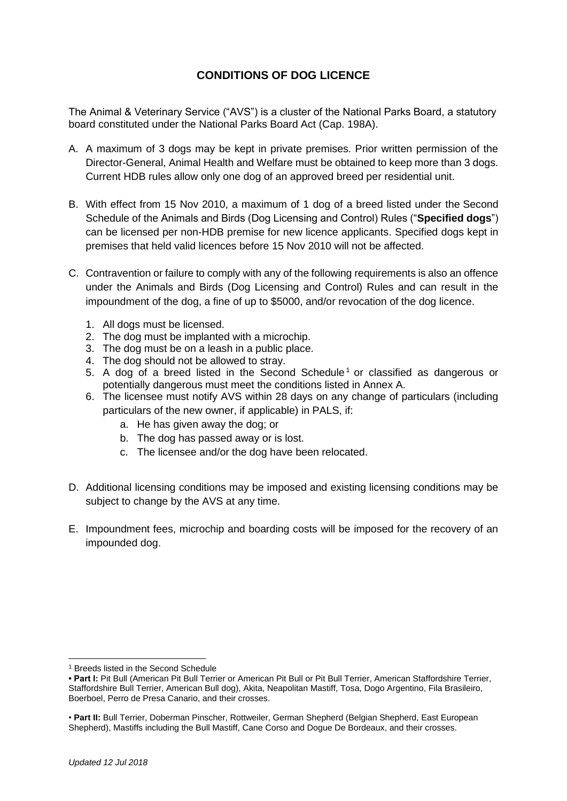# **CONDITIONS OF DOG LICENCE**

The Animal & Veterinary Service ("AVS") is a cluster of the National Parks Board, a statutory board constituted under the National Parks Board Act (Cap. 198A).

- A. A maximum of 3 dogs may be kept in private premises. Prior written permission of the Director-General, Animal Health and Welfare must be obtained to keep more than 3 dogs. Current HDB rules allow only one dog of an approved breed per residential unit.
- B. With effect from 15 Nov 2010, a maximum of 1 dog of a breed listed under the Second Schedule of the Animals and Birds (Dog Licensing and Control) Rules ("**Specified dogs**") can be licensed per non-HDB premise for new licence applicants. Specified dogs kept in premises that held valid licences before 15 Nov 2010 will not be affected.
- C. Contravention or failure to comply with any of the following requirements is also an offence under the Animals and Birds (Dog Licensing and Control) Rules and can result in the impoundment of the dog, a fine of up to \$5000, and/or revocation of the dog licence.
	- 1. All dogs must be licensed.
	- 2. The dog must be implanted with a microchip.
	- 3. The dog must be on a leash in a public place.
	- 4. The dog should not be allowed to stray.
	- 5. A dog of a breed listed in the Second Schedule<sup>1</sup> or classified as dangerous or potentially dangerous must meet the conditions listed in Annex A.
	- 6. The licensee must notify AVS within 28 days on any change of particulars (including particulars of the new owner, if applicable) in PALS, if:
		- a. He has given away the dog; or
		- b. The dog has passed away or is lost.
		- c. The licensee and/or the dog have been relocated.
- D. Additional licensing conditions may be imposed and existing licensing conditions may be subject to change by the AVS at any time.
- E. Impoundment fees, microchip and boarding costs will be imposed for the recovery of an impounded dog.

<sup>1</sup> Breeds listed in the Second Schedule

**<sup>•</sup> Part I:** Pit Bull (American Pit Bull Terrier or American Pit Bull or Pit Bull Terrier, American Staffordshire Terrier, Staffordshire Bull Terrier, American Bull dog), Akita, Neapolitan Mastiff, Tosa, Dogo Argentino, Fila Brasileiro, Boerboel, Perro de Presa Canario, and their crosses.

<sup>•</sup> **Part II:** Bull Terrier, Doberman Pinscher, Rottweiler, German Shepherd (Belgian Shepherd, East European Shepherd), Mastiffs including the Bull Mastiff, Cane Corso and Dogue De Bordeaux, and their crosses.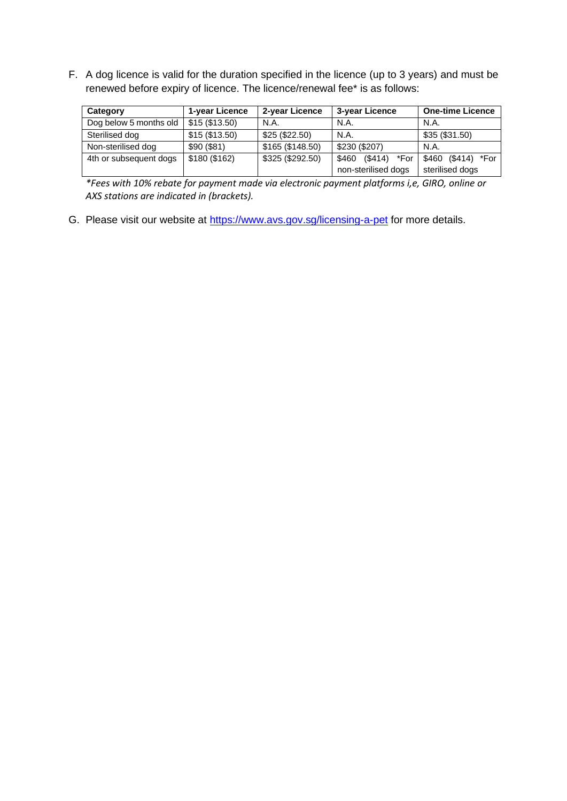F. A dog licence is valid for the duration specified in the licence (up to 3 years) and must be renewed before expiry of licence. The licence/renewal fee\* is as follows:

| Category               | 1-year Licence | 2-year Licence   | 3-year Licence           | <b>One-time Licence</b> |
|------------------------|----------------|------------------|--------------------------|-------------------------|
| Dog below 5 months old | \$15(\$13.50)  | N.A.             | N.A.                     | N.A.                    |
| Sterilised dog         | \$15(\$13.50)  | \$25 (\$22.50)   | N.A.                     | \$35(\$31.50)           |
| Non-sterilised dog     | \$90(\$81)     | \$165 (\$148.50) | \$230 (\$207)            | N.A                     |
| 4th or subsequent dogs | \$180 (\$162)  | \$325 (\$292.50) | \$460<br>(\$414)<br>*For | (\$414) *For<br>\$460   |
|                        |                |                  | non-sterilised dogs      | sterilised dogs         |

*\*Fees with 10% rebate for payment made via electronic payment platforms i,e, GIRO, online or AXS stations are indicated in (brackets).*

G. Please visit our website at https://www.avs.gov.sg/licensing-a-pet for more details.